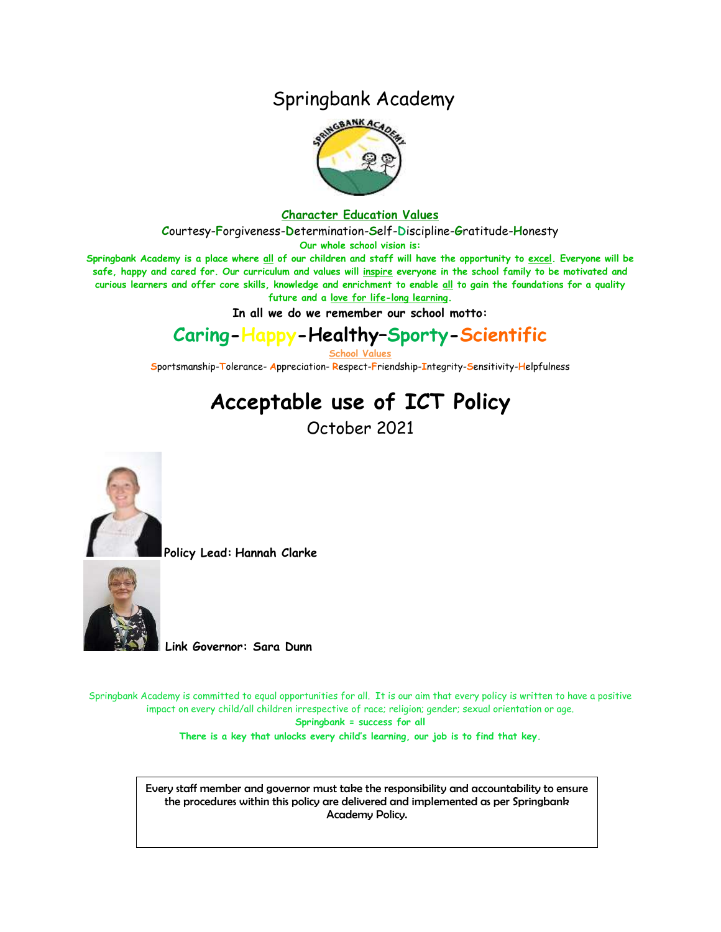### Springbank Academy



#### **Character Education Values**

**C**ourtesy-**F**orgiveness-**D**etermination-**S**elf-**D**iscipline-**G**ratitude-**H**onesty

**Our whole school vision is:**

**Springbank Academy is a place where all of our children and staff will have the opportunity to excel. Everyone will be safe, happy and cared for. Our curriculum and values will inspire everyone in the school family to be motivated and curious learners and offer core skills, knowledge and enrichment to enable all to gain the foundations for a quality future and a love for life-long learning.**

**In all we do we remember our school motto:**

## **Caring-Happy-Healthy–Sporty-Scientific**

**School Values**

**S**portsmanship-**T**olerance- **A**ppreciation- **R**espect-**F**riendship-**I**ntegrity-**S**ensitivity-**H**elpfulness

# **Acceptable use of ICT Policy**

October 2021



**Policy Lead: Hannah Clarke**



**Link Governor: Sara Dunn**

Springbank Academy is committed to equal opportunities for all. It is our aim that every policy is written to have a positive impact on every child/all children irrespective of race; religion; gender; sexual orientation or age. **Springbank = success for all**

**There is a key that unlocks every child's learning, our job is to find that key.**

Every staff member and governor must take the responsibility and accountability to ensure the procedures within this policy are delivered and implemented as per Springbank Academy Policy.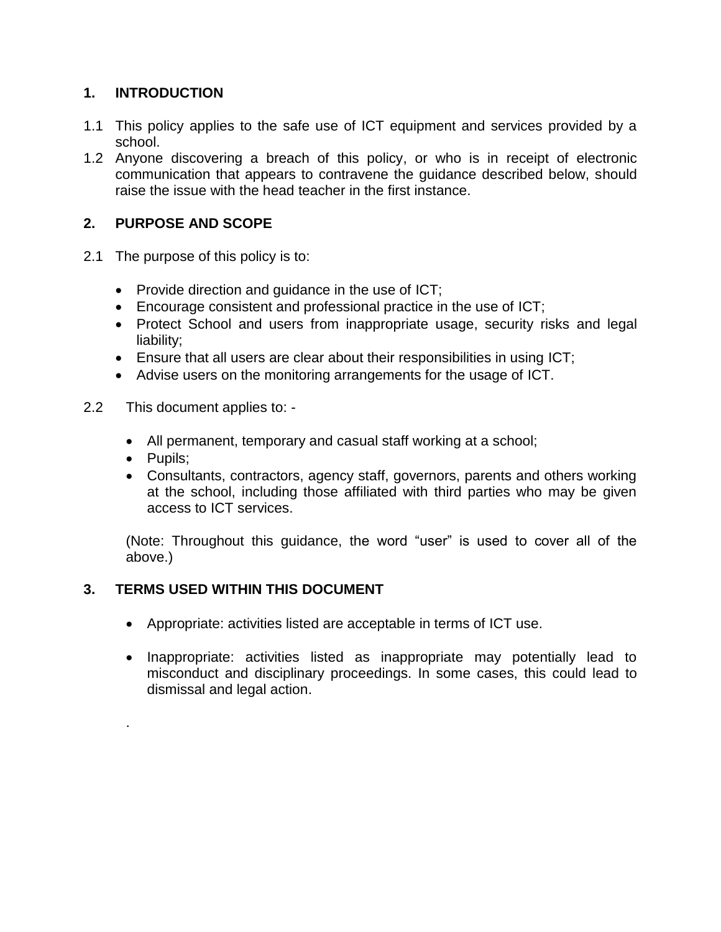#### **1. INTRODUCTION**

- 1.1 This policy applies to the safe use of ICT equipment and services provided by a school.
- 1.2 Anyone discovering a breach of this policy, or who is in receipt of electronic communication that appears to contravene the guidance described below, should raise the issue with the head teacher in the first instance.

#### **2. PURPOSE AND SCOPE**

- 2.1 The purpose of this policy is to:
	- Provide direction and guidance in the use of ICT;
	- Encourage consistent and professional practice in the use of ICT;
	- Protect School and users from inappropriate usage, security risks and legal liability;
	- Ensure that all users are clear about their responsibilities in using ICT;
	- Advise users on the monitoring arrangements for the usage of ICT.
- 2.2 This document applies to:
	- All permanent, temporary and casual staff working at a school;
	- Pupils;

.

 Consultants, contractors, agency staff, governors, parents and others working at the school, including those affiliated with third parties who may be given access to ICT services.

(Note: Throughout this guidance, the word "user" is used to cover all of the above.)

#### **3. TERMS USED WITHIN THIS DOCUMENT**

- Appropriate: activities listed are acceptable in terms of ICT use.
- Inappropriate: activities listed as inappropriate may potentially lead to misconduct and disciplinary proceedings. In some cases, this could lead to dismissal and legal action.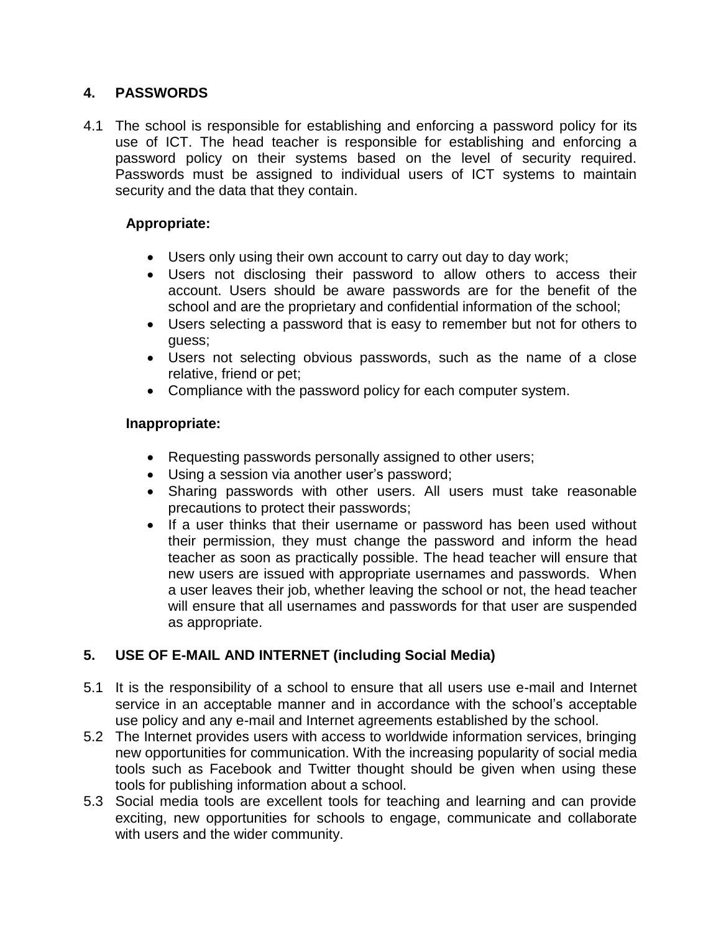#### **4. PASSWORDS**

4.1 The school is responsible for establishing and enforcing a password policy for its use of ICT. The head teacher is responsible for establishing and enforcing a password policy on their systems based on the level of security required. Passwords must be assigned to individual users of ICT systems to maintain security and the data that they contain.

#### **Appropriate:**

- Users only using their own account to carry out day to day work;
- Users not disclosing their password to allow others to access their account. Users should be aware passwords are for the benefit of the school and are the proprietary and confidential information of the school;
- Users selecting a password that is easy to remember but not for others to guess;
- Users not selecting obvious passwords, such as the name of a close relative, friend or pet;
- Compliance with the password policy for each computer system.

#### **Inappropriate:**

- Requesting passwords personally assigned to other users;
- Using a session via another user's password;
- Sharing passwords with other users. All users must take reasonable precautions to protect their passwords;
- If a user thinks that their username or password has been used without their permission, they must change the password and inform the head teacher as soon as practically possible. The head teacher will ensure that new users are issued with appropriate usernames and passwords. When a user leaves their job, whether leaving the school or not, the head teacher will ensure that all usernames and passwords for that user are suspended as appropriate.

#### **5. USE OF E-MAIL AND INTERNET (including Social Media)**

- 5.1 It is the responsibility of a school to ensure that all users use e-mail and Internet service in an acceptable manner and in accordance with the school's acceptable use policy and any e-mail and Internet agreements established by the school.
- 5.2 The Internet provides users with access to worldwide information services, bringing new opportunities for communication. With the increasing popularity of social media tools such as Facebook and Twitter thought should be given when using these tools for publishing information about a school.
- 5.3 Social media tools are excellent tools for teaching and learning and can provide exciting, new opportunities for schools to engage, communicate and collaborate with users and the wider community.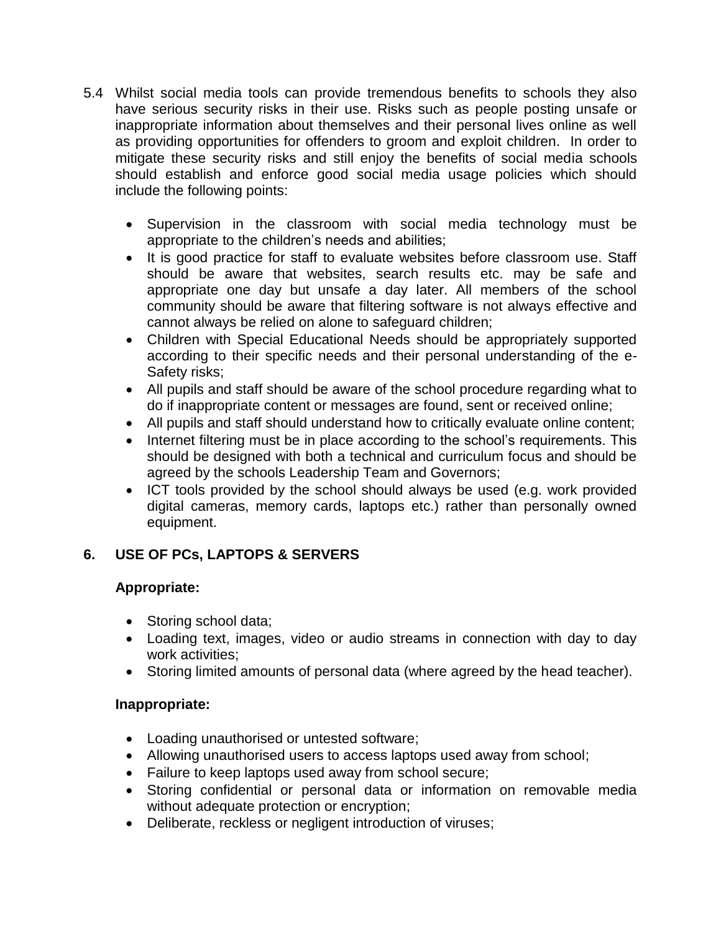- 5.4 Whilst social media tools can provide tremendous benefits to schools they also have serious security risks in their use. Risks such as people posting unsafe or inappropriate information about themselves and their personal lives online as well as providing opportunities for offenders to groom and exploit children. In order to mitigate these security risks and still enjoy the benefits of social media schools should establish and enforce good social media usage policies which should include the following points:
	- Supervision in the classroom with social media technology must be appropriate to the children's needs and abilities;
	- It is good practice for staff to evaluate websites before classroom use. Staff should be aware that websites, search results etc. may be safe and appropriate one day but unsafe a day later. All members of the school community should be aware that filtering software is not always effective and cannot always be relied on alone to safeguard children;
	- Children with Special Educational Needs should be appropriately supported according to their specific needs and their personal understanding of the e-Safety risks;
	- All pupils and staff should be aware of the school procedure regarding what to do if inappropriate content or messages are found, sent or received online;
	- All pupils and staff should understand how to critically evaluate online content;
	- Internet filtering must be in place according to the school's requirements. This should be designed with both a technical and curriculum focus and should be agreed by the schools Leadership Team and Governors;
	- $\bullet$  ICT tools provided by the school should always be used (e.g. work provided digital cameras, memory cards, laptops etc.) rather than personally owned equipment.

#### **6. USE OF PCs, LAPTOPS & SERVERS**

#### **Appropriate:**

- Storing school data;
- Loading text, images, video or audio streams in connection with day to day work activities;
- Storing limited amounts of personal data (where agreed by the head teacher).

#### **Inappropriate:**

- Loading unauthorised or untested software;
- Allowing unauthorised users to access laptops used away from school;
- Failure to keep laptops used away from school secure;
- Storing confidential or personal data or information on removable media without adequate protection or encryption;
- Deliberate, reckless or negligent introduction of viruses;